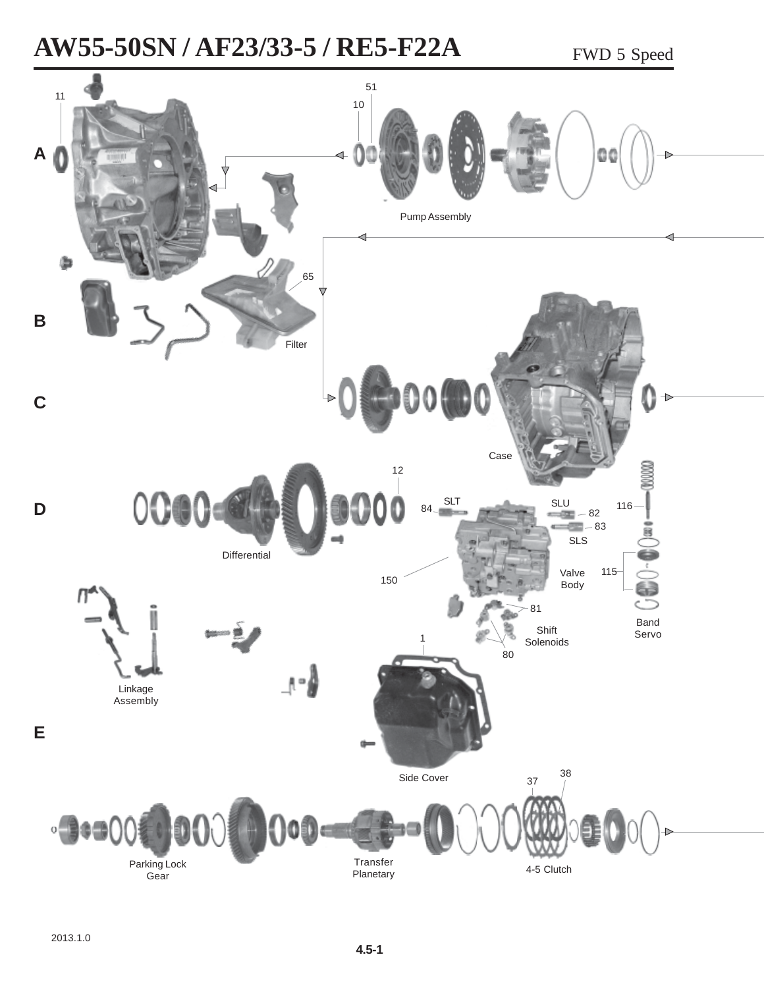# **AW55-50SN / AF23/33-5 / RE5-F22A** FWD 5 Speed

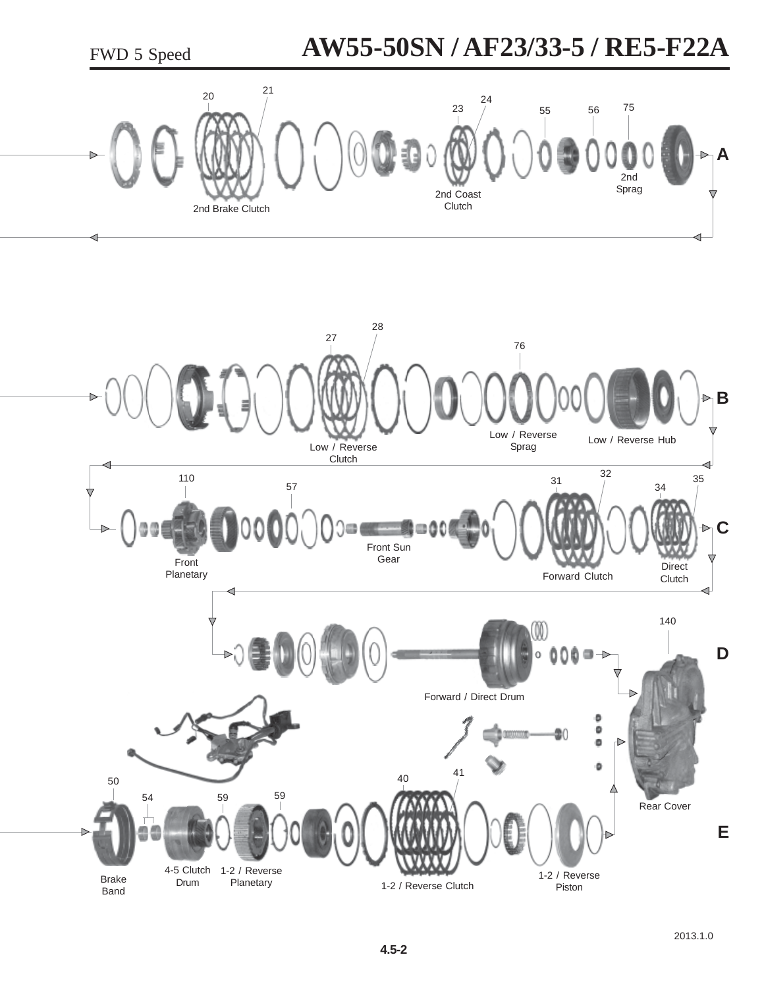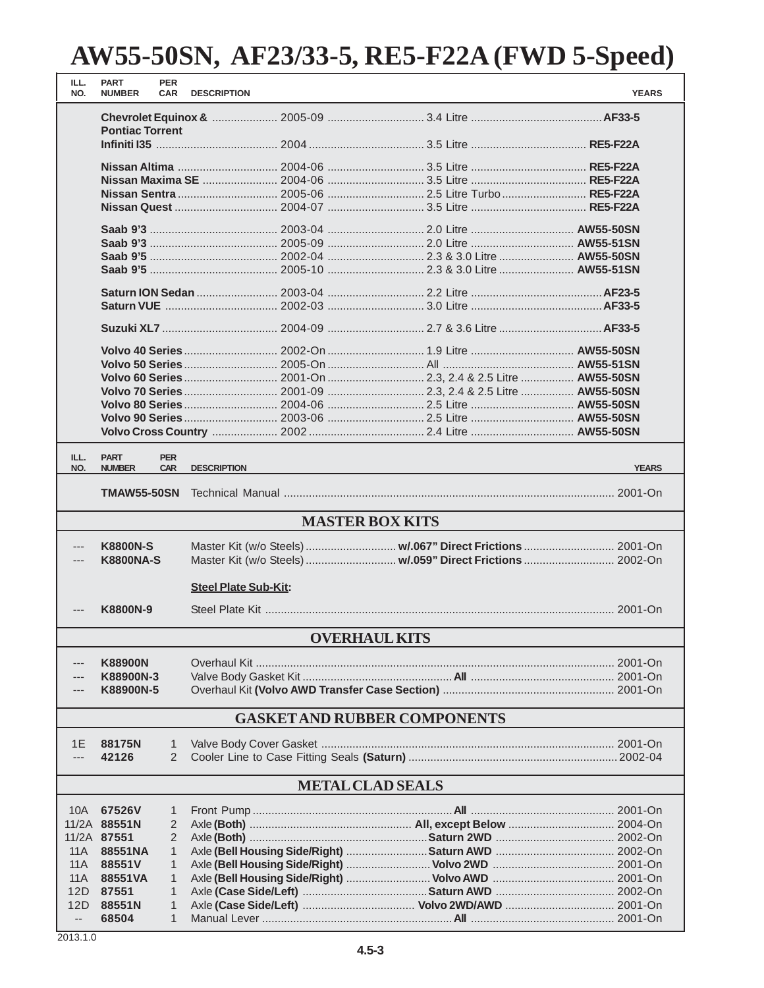| ILL.<br>NO.              | <b>PART</b><br><b>NUMBER</b>        | <b>PER</b><br><b>CAR</b> | <b>DESCRIPTION</b>          |  |                        |  |                                                            | <b>YEARS</b> |
|--------------------------|-------------------------------------|--------------------------|-----------------------------|--|------------------------|--|------------------------------------------------------------|--------------|
|                          |                                     |                          |                             |  |                        |  |                                                            |              |
|                          | <b>Pontiac Torrent</b>              |                          |                             |  |                        |  |                                                            |              |
|                          |                                     |                          |                             |  |                        |  |                                                            |              |
|                          |                                     |                          |                             |  |                        |  |                                                            |              |
|                          |                                     |                          |                             |  |                        |  |                                                            |              |
|                          |                                     |                          |                             |  |                        |  |                                                            |              |
|                          |                                     |                          |                             |  |                        |  |                                                            |              |
|                          |                                     |                          |                             |  |                        |  |                                                            |              |
|                          |                                     |                          |                             |  |                        |  |                                                            |              |
|                          |                                     |                          |                             |  |                        |  |                                                            |              |
|                          |                                     |                          |                             |  |                        |  |                                                            |              |
|                          |                                     |                          |                             |  |                        |  |                                                            |              |
|                          |                                     |                          |                             |  |                        |  |                                                            |              |
|                          |                                     |                          |                             |  |                        |  |                                                            |              |
|                          |                                     |                          |                             |  |                        |  |                                                            |              |
|                          |                                     |                          |                             |  |                        |  |                                                            |              |
|                          |                                     |                          |                             |  |                        |  |                                                            |              |
|                          |                                     |                          |                             |  |                        |  |                                                            |              |
|                          |                                     |                          |                             |  |                        |  |                                                            |              |
|                          |                                     |                          |                             |  |                        |  |                                                            |              |
|                          |                                     |                          |                             |  |                        |  |                                                            |              |
|                          |                                     |                          |                             |  |                        |  |                                                            |              |
| ILL.<br>NO.              | <b>PART</b><br><b>NUMBER</b>        | <b>PER</b><br><b>CAR</b> | <b>DESCRIPTION</b>          |  |                        |  |                                                            | <b>YEARS</b> |
|                          |                                     |                          |                             |  |                        |  |                                                            |              |
|                          | <b>TMAW55-50SN</b>                  |                          |                             |  |                        |  |                                                            |              |
|                          |                                     |                          |                             |  | <b>MASTER BOX KITS</b> |  |                                                            |              |
| ---                      | <b>K8800N-S</b>                     |                          |                             |  |                        |  | Master Kit (w/o Steels)  w/.067" Direct Frictions  2001-On |              |
|                          | <b>K8800NA-S</b>                    |                          |                             |  |                        |  | Master Kit (w/o Steels)  w/.059" Direct Frictions  2002-On |              |
|                          |                                     |                          |                             |  |                        |  |                                                            |              |
|                          |                                     |                          | <b>Steel Plate Sub-Kit:</b> |  |                        |  |                                                            |              |
|                          | K8800N-9                            |                          |                             |  |                        |  |                                                            |              |
|                          |                                     |                          |                             |  |                        |  |                                                            |              |
|                          | <b>OVERHAUL KITS</b>                |                          |                             |  |                        |  |                                                            |              |
| ---                      | <b>K88900N</b>                      |                          |                             |  |                        |  |                                                            |              |
|                          | K88900N-3                           |                          |                             |  |                        |  |                                                            |              |
|                          | K88900N-5                           |                          |                             |  |                        |  |                                                            |              |
|                          | <b>GASKET AND RUBBER COMPONENTS</b> |                          |                             |  |                        |  |                                                            |              |
| 1E                       | 88175N                              | $\mathbf{1}$             |                             |  |                        |  |                                                            |              |
|                          | 42126                               | $\overline{2}$           |                             |  |                        |  |                                                            |              |
|                          |                                     |                          |                             |  |                        |  |                                                            |              |
|                          | <b>METAL CLAD SEALS</b>             |                          |                             |  |                        |  |                                                            |              |
| 10A                      | 67526V                              | $\mathbf{1}$             |                             |  |                        |  |                                                            |              |
|                          | 11/2A 88551N                        | 2                        |                             |  |                        |  |                                                            |              |
|                          | 11/2A 87551                         | $\overline{2}$           |                             |  |                        |  |                                                            |              |
| 11A                      | 88551NA                             | $\mathbf{1}$             |                             |  |                        |  |                                                            |              |
| 11A                      | 88551V                              | $\mathbf{1}$             |                             |  |                        |  |                                                            |              |
| 11A<br>12D               | 88551VA<br>87551                    | 1<br>1                   |                             |  |                        |  |                                                            |              |
| 12D                      | 88551N                              | 1                        |                             |  |                        |  |                                                            |              |
| $\overline{\phantom{a}}$ | 68504                               | 1                        |                             |  |                        |  |                                                            |              |
|                          |                                     |                          |                             |  |                        |  |                                                            |              |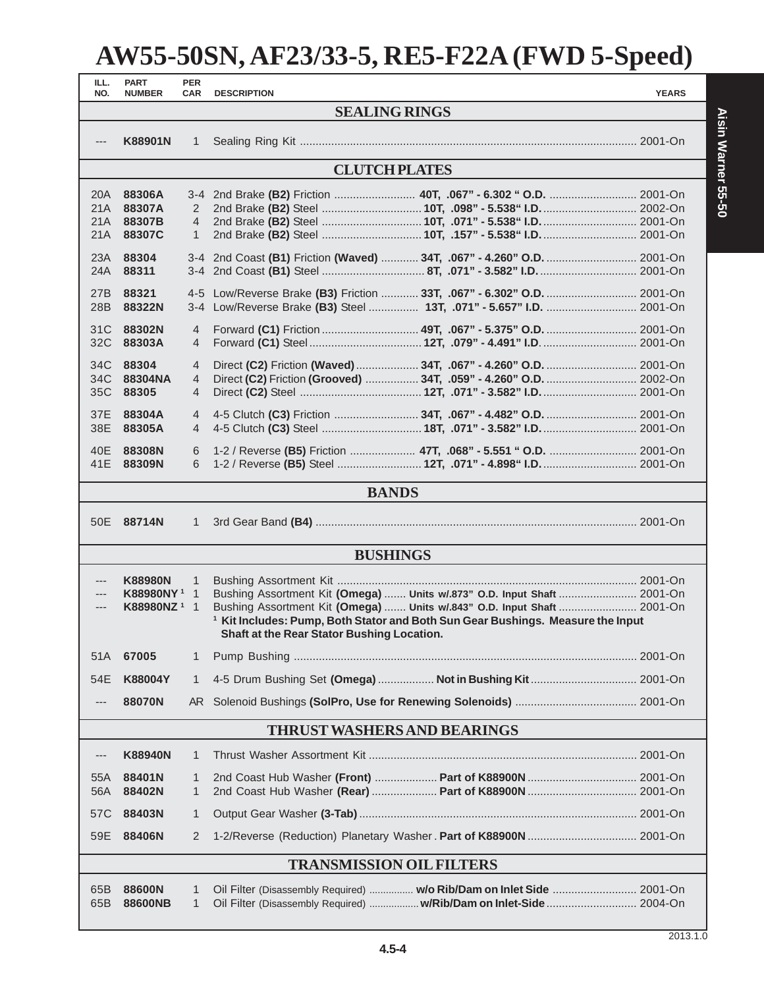| ILL.                               | <b>PART</b>             | <b>PER</b>     |                                                                                                                                          |  |              |  |  |
|------------------------------------|-------------------------|----------------|------------------------------------------------------------------------------------------------------------------------------------------|--|--------------|--|--|
| NO.                                | <b>NUMBER</b>           | CAR            | <b>DESCRIPTION</b><br><b>SEALING RINGS</b>                                                                                               |  | <b>YEARS</b> |  |  |
|                                    |                         |                |                                                                                                                                          |  |              |  |  |
|                                    | K88901N                 | 1              |                                                                                                                                          |  |              |  |  |
|                                    | <b>CLUTCH PLATES</b>    |                |                                                                                                                                          |  |              |  |  |
| 20A                                | 88306A                  |                |                                                                                                                                          |  |              |  |  |
| 21A                                | 88307A                  | 2              |                                                                                                                                          |  |              |  |  |
| 21A                                | 88307B                  | $\overline{4}$ |                                                                                                                                          |  |              |  |  |
| 21A                                | 88307C                  | 1              |                                                                                                                                          |  |              |  |  |
| 23A                                | 88304                   |                | 3-4 2nd Coast (B1) Friction (Waved)  34T, .067" - 4.260" O.D.  2001-On                                                                   |  |              |  |  |
| 24A                                | 88311                   |                | 3-4 2nd Coast (B1) Steel  8T, .071" - 3.582" I.D.  2001-On                                                                               |  |              |  |  |
| 27B                                | 88321                   |                | 4-5 Low/Reverse Brake (B3) Friction  33T, .067" - 6.302" O.D.  2001-On                                                                   |  |              |  |  |
| 28B                                | 88322N                  |                | 3-4 Low/Reverse Brake (B3) Steel  13T, .071" - 5.657" I.D.  2001-On                                                                      |  |              |  |  |
| 31C                                | 88302N                  | 4              |                                                                                                                                          |  |              |  |  |
| 32C                                | 88303A                  | 4              |                                                                                                                                          |  |              |  |  |
|                                    |                         |                |                                                                                                                                          |  |              |  |  |
| 34C<br>34C                         | 88304<br>88304NA        | 4<br>4         | Direct (C2) Friction (Grooved)  34T, .059" - 4.260" O.D.  2002-On                                                                        |  |              |  |  |
| 35C                                | 88305                   | 4              |                                                                                                                                          |  |              |  |  |
|                                    |                         |                |                                                                                                                                          |  |              |  |  |
| 37E                                | 88304A                  | $\overline{4}$ |                                                                                                                                          |  |              |  |  |
| 38E                                | 88305A                  | 4              |                                                                                                                                          |  |              |  |  |
| 40E                                | 88308N                  | 6              | 1-2 / Reverse (B5) Friction  47T, .068" - 5.551 " O.D.  2001-On                                                                          |  |              |  |  |
| 41E                                | 88309N                  | 6              |                                                                                                                                          |  |              |  |  |
|                                    |                         |                | <b>BANDS</b>                                                                                                                             |  |              |  |  |
|                                    |                         |                |                                                                                                                                          |  |              |  |  |
|                                    | 50E 88714N              | 1              |                                                                                                                                          |  |              |  |  |
| <b>BUSHINGS</b>                    |                         |                |                                                                                                                                          |  |              |  |  |
| $\qquad \qquad - \qquad -$         | <b>K88980N</b>          | 1              |                                                                                                                                          |  |              |  |  |
| $---$                              | <b>K88980NY1</b>        | $\overline{1}$ | Bushing Assortment Kit (Omega)  Units w/.873" O.D. Input Shaft  2001-On                                                                  |  |              |  |  |
| $\hspace{0.05cm} \cdots$           | K88980NZ <sup>1</sup> 1 |                | Bushing Assortment Kit (Omega)  Units w/.843" O.D. Input Shaft  2001-On                                                                  |  |              |  |  |
|                                    |                         |                | <sup>1</sup> Kit Includes: Pump, Both Stator and Both Sun Gear Bushings. Measure the Input<br>Shaft at the Rear Stator Bushing Location. |  |              |  |  |
| 51A                                | 67005                   | 1              |                                                                                                                                          |  |              |  |  |
|                                    |                         |                |                                                                                                                                          |  |              |  |  |
| 54E                                | K88004Y                 | $\mathbf{1}$   | 4-5 Drum Bushing Set (Omega)  Not in Bushing Kit  2001-On                                                                                |  |              |  |  |
|                                    | 88070N                  |                |                                                                                                                                          |  |              |  |  |
| <b>THRUST WASHERS AND BEARINGS</b> |                         |                |                                                                                                                                          |  |              |  |  |
| ---                                | <b>K88940N</b>          | 1              |                                                                                                                                          |  |              |  |  |
| 55A                                | 88401N                  | 1              | 2nd Coast Hub Washer (Front)  Part of K88900N  2001-On                                                                                   |  |              |  |  |
| 56A                                | 88402N                  | 1              | 2nd Coast Hub Washer (Rear)  Part of K88900N  2001-On                                                                                    |  |              |  |  |
| 57C                                | 88403N                  | $\mathbf{1}$   |                                                                                                                                          |  |              |  |  |
| 59E                                | 88406N                  | 2              |                                                                                                                                          |  |              |  |  |
| <b>TRANSMISSION OIL FILTERS</b>    |                         |                |                                                                                                                                          |  |              |  |  |
| 65B                                | 88600N                  |                | Oil Filter (Disassembly Required)  w/o Rib/Dam on Inlet Side  2001-On                                                                    |  |              |  |  |
| 65B                                | 88600NB                 | 1<br>1         | Oil Filter (Disassembly Required)  w/Rib/Dam on Inlet-Side  2004-On                                                                      |  |              |  |  |
|                                    |                         |                |                                                                                                                                          |  |              |  |  |

2013.1.0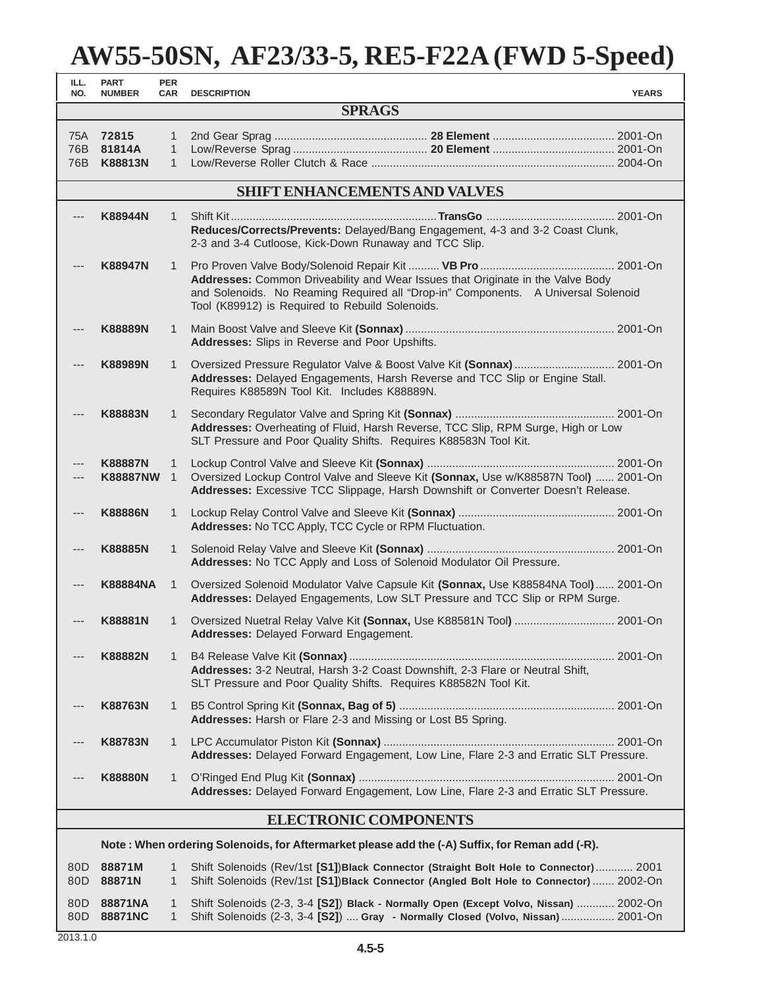| ILL.<br>NO.   | <b>PART</b><br><b>NUMBER</b>                                                                   | <b>PER</b><br><b>CAR</b>          | <b>DESCRIPTION</b>                                                                                                                                                                                                      | <b>YEARS</b> |
|---------------|------------------------------------------------------------------------------------------------|-----------------------------------|-------------------------------------------------------------------------------------------------------------------------------------------------------------------------------------------------------------------------|--------------|
| <b>SPRAGS</b> |                                                                                                |                                   |                                                                                                                                                                                                                         |              |
| 75A           | 72815<br>76B 81814A<br>76B K88813N                                                             | 1<br>$\mathbf{1}$<br>$\mathbf{1}$ |                                                                                                                                                                                                                         |              |
|               |                                                                                                |                                   | <b>SHIFT ENHANCEMENTS AND VALVES</b>                                                                                                                                                                                    |              |
| ---           | <b>K88944N</b>                                                                                 | $\mathbf{1}$                      | Reduces/Corrects/Prevents: Delayed/Bang Engagement, 4-3 and 3-2 Coast Clunk,<br>2-3 and 3-4 Cutloose, Kick-Down Runaway and TCC Slip.                                                                                   |              |
|               | <b>K88947N</b>                                                                                 | $\mathbf{1}$                      | Addresses: Common Driveability and Wear Issues that Originate in the Valve Body<br>and Solenoids. No Reaming Required all "Drop-in" Components. A Universal Solenoid<br>Tool (K89912) is Required to Rebuild Solenoids. |              |
|               | <b>K88889N</b>                                                                                 | 1                                 | Addresses: Slips in Reverse and Poor Upshifts.                                                                                                                                                                          |              |
|               | <b>K88989N</b>                                                                                 | $\mathbf{1}$                      | Oversized Pressure Regulator Valve & Boost Valve Kit (Sonnax)  2001-On<br>Addresses: Delayed Engagements, Harsh Reverse and TCC Slip or Engine Stall.<br>Requires K88589N Tool Kit. Includes K88889N.                   |              |
| ---           | <b>K88883N</b>                                                                                 | 1                                 | Addresses: Overheating of Fluid, Harsh Reverse, TCC Slip, RPM Surge, High or Low<br>SLT Pressure and Poor Quality Shifts. Requires K88583N Tool Kit.                                                                    |              |
|               | <b>K88887N</b><br><b>K88887NW</b>                                                              | $\mathbf{1}$<br>$\mathbf{1}$      | Oversized Lockup Control Valve and Sleeve Kit (Sonnax, Use w/K88587N Tool)  2001-On<br>Addresses: Excessive TCC Slippage, Harsh Downshift or Converter Doesn't Release.                                                 |              |
| ---           | <b>K88886N</b>                                                                                 | $\mathbf{1}$                      | Addresses: No TCC Apply, TCC Cycle or RPM Fluctuation.                                                                                                                                                                  |              |
| ---           | <b>K88885N</b>                                                                                 | $\mathbf{1}$                      | Addresses: No TCC Apply and Loss of Solenoid Modulator Oil Pressure.                                                                                                                                                    |              |
|               | <b>K88884NA</b>                                                                                | 1                                 | Oversized Solenoid Modulator Valve Capsule Kit (Sonnax, Use K88584NA Tool) 2001-On<br>Addresses: Delayed Engagements, Low SLT Pressure and TCC Slip or RPM Surge.                                                       |              |
|               | <b>K88881N</b>                                                                                 | 1                                 | Oversized Nuetral Relay Valve Kit (Sonnax, Use K88581N Tool)  2001-On<br>Addresses: Delayed Forward Engagement.                                                                                                         |              |
|               | <b>K88882N</b>                                                                                 | $\mathbf{1}$                      | Addresses: 3-2 Neutral, Harsh 3-2 Coast Downshift, 2-3 Flare or Neutral Shift,<br>SLT Pressure and Poor Quality Shifts. Requires K88582N Tool Kit.                                                                      |              |
|               | <b>K88763N</b>                                                                                 | 1                                 | Addresses: Harsh or Flare 2-3 and Missing or Lost B5 Spring.                                                                                                                                                            |              |
|               | <b>K88783N</b>                                                                                 | $\mathbf{1}$                      | Addresses: Delayed Forward Engagement, Low Line, Flare 2-3 and Erratic SLT Pressure.                                                                                                                                    |              |
|               | <b>K88880N</b>                                                                                 | $\mathbf{1}$                      | Addresses: Delayed Forward Engagement, Low Line, Flare 2-3 and Erratic SLT Pressure.                                                                                                                                    |              |
|               |                                                                                                |                                   | <b>ELECTRONIC COMPONENTS</b>                                                                                                                                                                                            |              |
|               | Note: When ordering Solenoids, for Aftermarket please add the (-A) Suffix, for Reman add (-R). |                                   |                                                                                                                                                                                                                         |              |
| 80D<br>80D    | 88871M<br>88871N                                                                               | 1<br>1                            | Shift Solenoids (Rev/1st [S1])Black Connector (Straight Bolt Hole to Connector) 2001<br>Shift Solenoids (Rev/1st [S1])Black Connector (Angled Bolt Hole to Connector)  2002-On                                          |              |

80D **88871NA** 1 Shift Solenoids (2-3, 3-4 **[S2]**) **Black - Normally Open (Except Volvo, Nissan)** ............ 2002-On 80D **88871NC** 1 Shift Solenoids (2-3, 3-4 **[S2]**) .... **Gray - Normally Closed (Volvo, Nissan)** ................. 2001-On